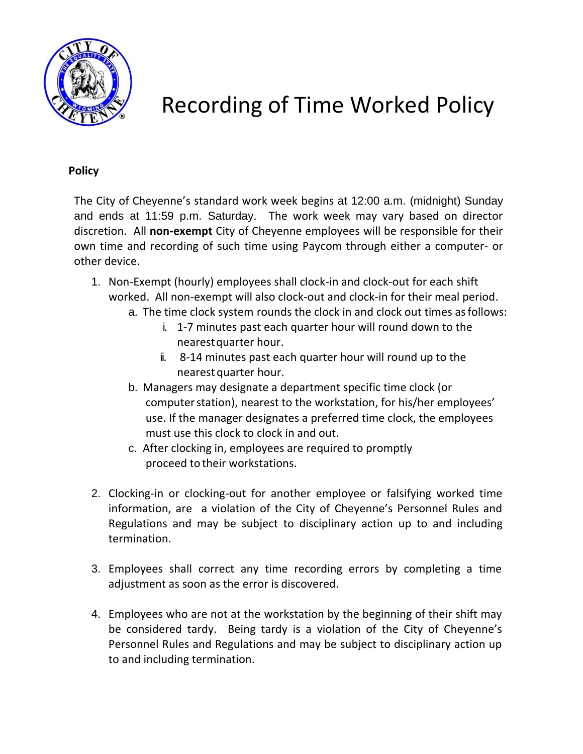

## Recording of Time Worked Policy

## **Policy**

The City of Cheyenne's standard work week begins at 12:00 a.m. (midnight) Sunday and ends at 11:59 p.m. Saturday. The work week may vary based on director discretion. All **non-exempt** City of Cheyenne employees will be responsible for their own time and recording of such time using Paycom through either a computer- or other device.

- 1. Non-Exempt (hourly) employees shall clock-in and clock-out for each shift worked. All non-exempt will also clock-out and clock-in for their meal period.
	- a. The time clock system rounds the clock in and clock out times asfollows:
		- i. 1-7 minutes past each quarter hour will round down to the nearestquarter hour.
			- ii. 8-14 minutes past each quarter hour will round up to the nearest quarter hour.
	- b. Managers may designate a department specific time clock (or computerstation), nearest to the workstation, for his/her employees' use. If the manager designates a preferred time clock, the employees must use this clock to clock in and out.
	- c. After clocking in, employees are required to promptly proceed to their workstations.
- 2. Clocking-in or clocking-out for another employee or falsifying worked time information, are a violation of the City of Cheyenne's Personnel Rules and Regulations and may be subject to disciplinary action up to and including termination.
- 3. Employees shall correct any time recording errors by completing a time adjustment as soon as the error is discovered.
- 4. Employees who are not at the workstation by the beginning of their shift may be considered tardy. Being tardy is a violation of the City of Cheyenne's Personnel Rules and Regulations and may be subject to disciplinary action up to and including termination.